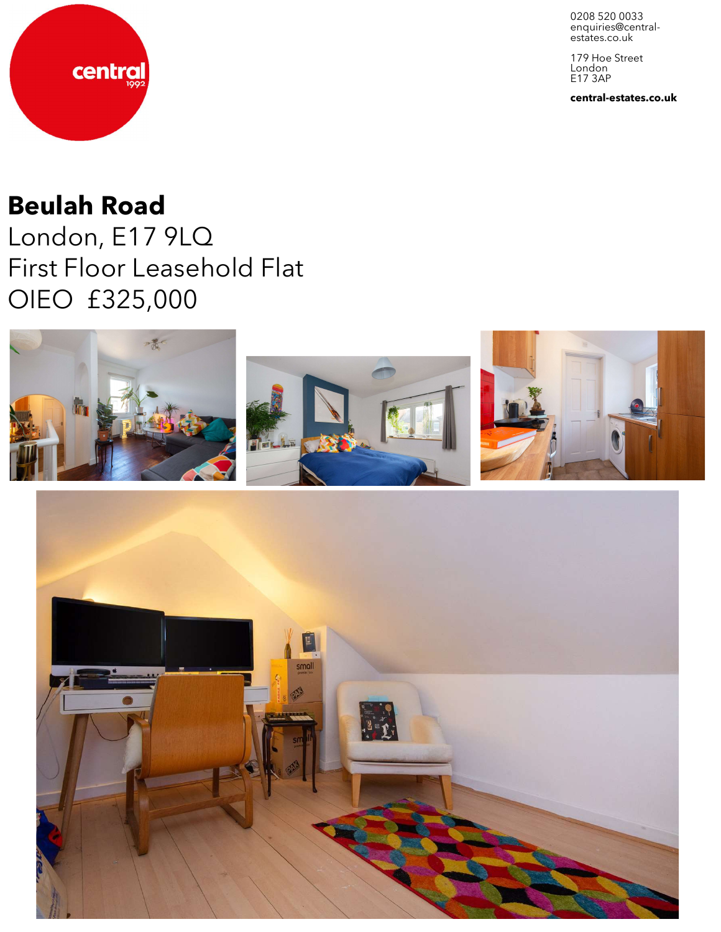0208 520 0033 enquiries@central-<br>estates.co.uk

179 Hoe Street London E17 3AP

**central-estates.co.uk**



# **Beulah Road**

London, E17 9LQ First Floor Leasehold Flat OIEO £325,000